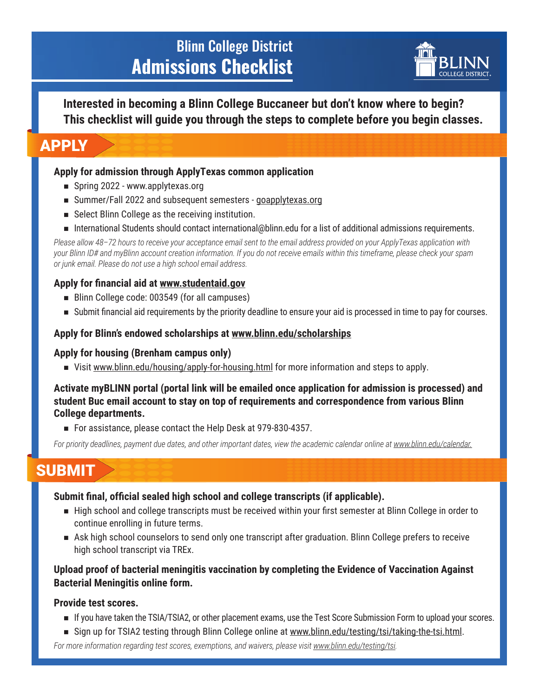# Blinn College District **Admissions Checklist**



**Interested in becoming a Blinn College Buccaneer but don't know where to begin? This checklist will guide you through the steps to complete before you begin classes.**

## APPLY

### **Apply for admission through ApplyTexas common application**

- $\blacksquare$  Spring 2022 www.applytexas.org
- Summer/Fall 2022 and subsequent semesters goapplytexas.org
- $\blacksquare$  Select Blinn College as the receiving institution.
- n International Students should contact international@blinn.edu for a list of additional admissions requirements.

*Please allow 48–72 hours to receive your acceptance email sent to the email address provided on your ApplyTexas application with your Blinn ID# and myBlinn account creation information. If you do not receive emails within this timeframe, please check your spam or junk email. Please do not use a high school email address.*

### **Apply for financial aid at www.studentaid.gov**

- Blinn College code: 003549 (for all campuses)
- n Submit financial aid requirements by the priority deadline to ensure your aid is processed in time to pay for courses.

### **Apply for Blinn's endowed scholarships at www.blinn.edu/scholarships**

### **Apply for housing (Brenham campus only)**

■ Visit www.blinn.edu/housing/apply-for-housing.html for more information and steps to apply.

#### **Activate myBLINN portal (portal link will be emailed once application for admission is processed) and student Buc email account to stay on top of requirements and correspondence from various Blinn College departments.**

■ For assistance, please contact the Help Desk at 979-830-4357.

*For priority deadlines, payment due dates, and other important dates, view the academic calendar online at www.blinn.edu/calendar.*

## SUBMIT

### **Submit final, official sealed high school and college transcripts (if applicable).**

- n High school and college transcripts must be received within your first semester at Blinn College in order to continue enrolling in future terms.
- n Ask high school counselors to send only one transcript after graduation. Blinn College prefers to receive high school transcript via TREx.

### **Upload proof of bacterial meningitis vaccination by completing the Evidence of Vaccination Against Bacterial Meningitis online form.**

### **Provide test scores.**

- n If you have taken the TSIA/TSIA2, or other placement exams, use the Test Score Submission Form to upload your scores.
- Sign up for TSIA2 testing through Blinn College online at www.blinn.edu/testing/tsi/taking-the-tsi.html.

*For more information regarding test scores, exemptions, and waivers, please visit www.blinn.edu/testing/tsi.*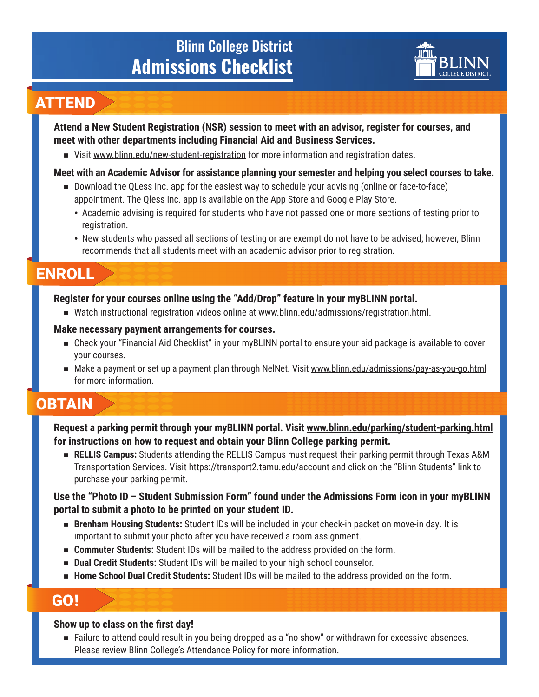# Blinn College District **Admissions Checklist**



### ATTEND

**Attend a New Student Registration (NSR) session to meet with an advisor, register for courses, and meet with other departments including Financial Aid and Business Services.** 

■ Visit www.blinn.edu/new-student-registration for more information and registration dates.

### **Meet with an Academic Advisor for assistance planning your semester and helping you select courses to take.**

- Download the QLess Inc. app for the easiest way to schedule your advising (online or face-to-face) appointment. The Qless Inc. app is available on the App Store and Google Play Store.
	- Academic advising is required for students who have not passed one or more sections of testing prior to registration.
	- New students who passed all sections of testing or are exempt do not have to be advised; however, Blinn recommends that all students meet with an academic advisor prior to registration.

## ENROLL

### **Register for your courses online using the "Add/Drop" feature in your myBLINN portal.**

■ Watch instructional registration videos online at www.blinn.edu/admissions/registration.html.

#### **Make necessary payment arrangements for courses.**

- Check your "Financial Aid Checklist" in your myBLINN portal to ensure your aid package is available to cover your courses.
- n Make a payment or set up a payment plan through NelNet. Visit www.blinn.edu/admissions/pay-as-you-go.html for more information.

# **OBTAIN**

**Request a parking permit through your myBLINN portal. Visit www.blinn.edu/parking/student-parking.html for instructions on how to request and obtain your Blinn College parking permit.**

**RELLIS Campus:** Students attending the RELLIS Campus must request their parking permit through Texas A&M Transportation Services. Visit https://transport2.tamu.edu/account and click on the "Blinn Students" link to purchase your parking permit.

### **Use the "Photo ID – Student Submission Form" found under the Admissions Form icon in your myBLINN portal to submit a photo to be printed on your student ID.**

- **Brenham Housing Students:** Student IDs will be included in your check-in packet on move-in day. It is important to submit your photo after you have received a room assignment.
- **EXECOMMUTER Students:** Student IDs will be mailed to the address provided on the form.
- **Dual Credit Students:** Student IDs will be mailed to your high school counselor.
- **Home School Dual Credit Students:** Student IDs will be mailed to the address provided on the form.

### GO!

### **Show up to class on the first day!**

■ Failure to attend could result in you being dropped as a "no show" or withdrawn for excessive absences. Please review Blinn College's Attendance Policy for more information.